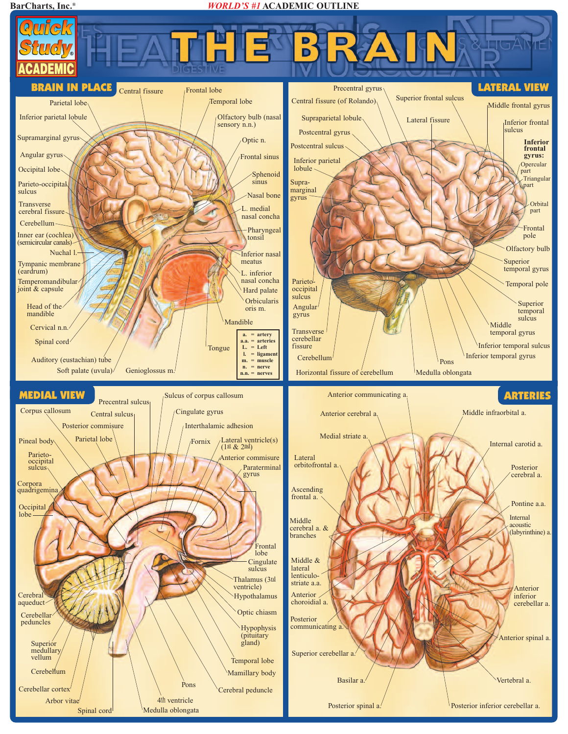## **BarCharts, Inc.®** *WORLD'S #1* **ACADEMIC OUTLINE**